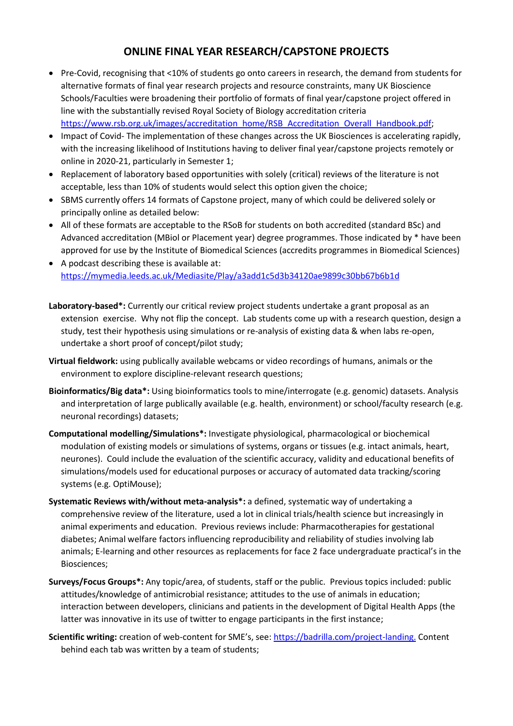## **ONLINE FINAL YEAR RESEARCH/CAPSTONE PROJECTS**

- Pre-Covid, recognising that <10% of students go onto careers in research, the demand from students for alternative formats of final year research projects and resource constraints, many UK Bioscience Schools/Faculties were broadening their portfolio of formats of final year/capstone project offered in line with the substantially revised Royal Society of Biology accreditation criteria [https://www.rsb.org.uk/images/accreditation\\_home/RSB\\_Accreditation\\_Overall\\_Handbook.pdf;](https://www.rsb.org.uk/images/accreditation_home/RSB_Accreditation_Overall_Handbook.pdf)
- Impact of Covid- The implementation of these changes across the UK Biosciences is accelerating rapidly, with the increasing likelihood of Institutions having to deliver final year/capstone projects remotely or online in 2020-21, particularly in Semester 1;
- Replacement of laboratory based opportunities with solely (critical) reviews of the literature is not acceptable, less than 10% of students would select this option given the choice;
- SBMS currently offers 14 formats of Capstone project, many of which could be delivered solely or principally online as detailed below:
- All of these formats are acceptable to the RSoB for students on both accredited (standard BSc) and Advanced accreditation (MBiol or Placement year) degree programmes. Those indicated by \* have been approved for use by the Institute of Biomedical Sciences (accredits programmes in Biomedical Sciences)
- A podcast describing these is available at: <https://mymedia.leeds.ac.uk/Mediasite/Play/a3add1c5d3b34120ae9899c30bb67b6b1d>
- **Laboratory-based\*:** Currently our critical review project students undertake a grant proposal as an extension exercise. Why not flip the concept. Lab students come up with a research question, design a study, test their hypothesis using simulations or re-analysis of existing data & when labs re-open, undertake a short proof of concept/pilot study;
- **Virtual fieldwork:** using publically available webcams or video recordings of humans, animals or the environment to explore discipline-relevant research questions;
- **Bioinformatics/Big data\*:** Using bioinformatics tools to mine/interrogate (e.g. genomic) datasets. Analysis and interpretation of large publically available (e.g. health, environment) or school/faculty research (e.g. neuronal recordings) datasets;
- **Computational modelling/Simulations\*:** Investigate physiological, pharmacological or biochemical modulation of existing models or simulations of systems, organs or tissues (e.g. intact animals, heart, neurones). Could include the evaluation of the scientific accuracy, validity and educational benefits of simulations/models used for educational purposes or accuracy of automated data tracking/scoring systems (e.g. OptiMouse);
- **Systematic Reviews with/without meta-analysis\*:** a defined, systematic way of undertaking a comprehensive review of the literature, used a lot in clinical trials/health science but increasingly in animal experiments and education. Previous reviews include: Pharmacotherapies for gestational diabetes; Animal welfare factors influencing reproducibility and reliability of studies involving lab animals; E-learning and other resources as replacements for face 2 face undergraduate practical's in the Biosciences;
- **Surveys/Focus Groups\*:** Any topic/area, of students, staff or the public. Previous topics included: public attitudes/knowledge of antimicrobial resistance; attitudes to the use of animals in education; interaction between developers, clinicians and patients in the development of Digital Health Apps (the latter was innovative in its use of twitter to engage participants in the first instance;
- **Scientific writing:** creation of web-content for SME's, see: [https://badrilla.com/project-landing.](https://badrilla.com/project-landing) Content behind each tab was written by a team of students;